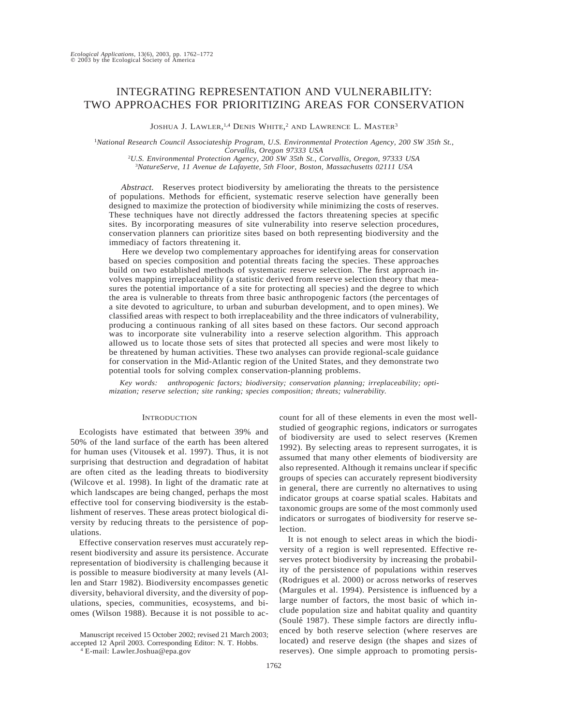# INTEGRATING REPRESENTATION AND VULNERABILITY: TWO APPROACHES FOR PRIORITIZING AREAS FOR CONSERVATION

JOSHUA J. LAWLER,<sup>1,4</sup> DENIS WHITE,<sup>2</sup> AND LAWRENCE L. MASTER<sup>3</sup>

<sup>1</sup>*National Research Council Associateship Program, U.S. Environmental Protection Agency, 200 SW 35th St., Corvallis, Oregon 97333 USA*

<sup>2</sup>*U.S. Environmental Protection Agency, 200 SW 35th St., Corvallis, Oregon, 97333 USA* 3 *NatureServe, 11 Avenue de Lafayette, 5th Floor, Boston, Massachusetts 02111 USA*

*Abstract.* Reserves protect biodiversity by ameliorating the threats to the persistence of populations. Methods for efficient, systematic reserve selection have generally been designed to maximize the protection of biodiversity while minimizing the costs of reserves. These techniques have not directly addressed the factors threatening species at specific sites. By incorporating measures of site vulnerability into reserve selection procedures, conservation planners can prioritize sites based on both representing biodiversity and the immediacy of factors threatening it.

Here we develop two complementary approaches for identifying areas for conservation based on species composition and potential threats facing the species. These approaches build on two established methods of systematic reserve selection. The first approach involves mapping irreplaceability (a statistic derived from reserve selection theory that measures the potential importance of a site for protecting all species) and the degree to which the area is vulnerable to threats from three basic anthropogenic factors (the percentages of a site devoted to agriculture, to urban and suburban development, and to open mines). We classified areas with respect to both irreplaceability and the three indicators of vulnerability, producing a continuous ranking of all sites based on these factors. Our second approach was to incorporate site vulnerability into a reserve selection algorithm. This approach allowed us to locate those sets of sites that protected all species and were most likely to be threatened by human activities. These two analyses can provide regional-scale guidance for conservation in the Mid-Atlantic region of the United States, and they demonstrate two potential tools for solving complex conservation-planning problems.

*Key words: anthropogenic factors; biodiversity; conservation planning; irreplaceability; optimization; reserve selection; site ranking; species composition; threats; vulnerability.*

## **INTRODUCTION**

Ecologists have estimated that between 39% and 50% of the land surface of the earth has been altered for human uses (Vitousek et al. 1997). Thus, it is not surprising that destruction and degradation of habitat are often cited as the leading threats to biodiversity (Wilcove et al. 1998). In light of the dramatic rate at which landscapes are being changed, perhaps the most effective tool for conserving biodiversity is the establishment of reserves. These areas protect biological diversity by reducing threats to the persistence of populations.

Effective conservation reserves must accurately represent biodiversity and assure its persistence. Accurate representation of biodiversity is challenging because it is possible to measure biodiversity at many levels (Allen and Starr 1982). Biodiversity encompasses genetic diversity, behavioral diversity, and the diversity of populations, species, communities, ecosystems, and biomes (Wilson 1988). Because it is not possible to ac-

Manuscript received 15 October 2002; revised 21 March 2003; accepted 12 April 2003. Corresponding Editor: N. T. Hobbs.

<sup>4</sup> E-mail: Lawler.Joshua@epa.gov

count for all of these elements in even the most wellstudied of geographic regions, indicators or surrogates of biodiversity are used to select reserves (Kremen 1992). By selecting areas to represent surrogates, it is assumed that many other elements of biodiversity are also represented. Although it remains unclear if specific groups of species can accurately represent biodiversity in general, there are currently no alternatives to using indicator groups at coarse spatial scales. Habitats and taxonomic groups are some of the most commonly used indicators or surrogates of biodiversity for reserve selection.

It is not enough to select areas in which the biodiversity of a region is well represented. Effective reserves protect biodiversity by increasing the probability of the persistence of populations within reserves (Rodrigues et al. 2000) or across networks of reserves (Margules et al. 1994). Persistence is influenced by a large number of factors, the most basic of which include population size and habitat quality and quantity (Soulé 1987). These simple factors are directly influenced by both reserve selection (where reserves are located) and reserve design (the shapes and sizes of reserves). One simple approach to promoting persis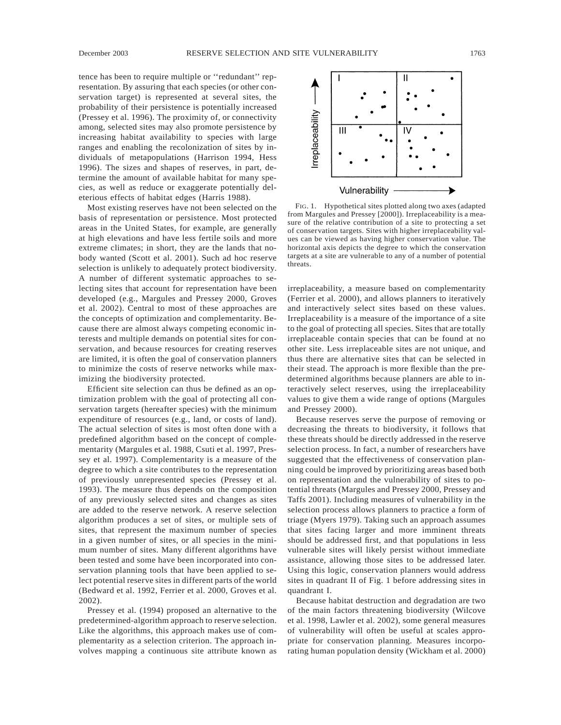tence has been to require multiple or ''redundant'' representation. By assuring that each species (or other conservation target) is represented at several sites, the probability of their persistence is potentially increased (Pressey et al. 1996). The proximity of, or connectivity among, selected sites may also promote persistence by increasing habitat availability to species with large ranges and enabling the recolonization of sites by individuals of metapopulations (Harrison 1994, Hess 1996). The sizes and shapes of reserves, in part, determine the amount of available habitat for many species, as well as reduce or exaggerate potentially deleterious effects of habitat edges (Harris 1988).

Most existing reserves have not been selected on the basis of representation or persistence. Most protected areas in the United States, for example, are generally at high elevations and have less fertile soils and more extreme climates; in short, they are the lands that nobody wanted (Scott et al. 2001). Such ad hoc reserve selection is unlikely to adequately protect biodiversity. A number of different systematic approaches to selecting sites that account for representation have been developed (e.g., Margules and Pressey 2000, Groves et al. 2002). Central to most of these approaches are the concepts of optimization and complementarity. Because there are almost always competing economic interests and multiple demands on potential sites for conservation, and because resources for creating reserves are limited, it is often the goal of conservation planners to minimize the costs of reserve networks while maximizing the biodiversity protected.

Efficient site selection can thus be defined as an optimization problem with the goal of protecting all conservation targets (hereafter species) with the minimum expenditure of resources (e.g., land, or costs of land). The actual selection of sites is most often done with a predefined algorithm based on the concept of complementarity (Margules et al. 1988, Csuti et al. 1997, Pressey et al. 1997). Complementarity is a measure of the degree to which a site contributes to the representation of previously unrepresented species (Pressey et al. 1993). The measure thus depends on the composition of any previously selected sites and changes as sites are added to the reserve network. A reserve selection algorithm produces a set of sites, or multiple sets of sites, that represent the maximum number of species in a given number of sites, or all species in the minimum number of sites. Many different algorithms have been tested and some have been incorporated into conservation planning tools that have been applied to select potential reserve sites in different parts of the world (Bedward et al. 1992, Ferrier et al. 2000, Groves et al. 2002).

Pressey et al. (1994) proposed an alternative to the predetermined-algorithm approach to reserve selection. Like the algorithms, this approach makes use of complementarity as a selection criterion. The approach involves mapping a continuous site attribute known as



FIG. 1. Hypothetical sites plotted along two axes (adapted from Margules and Pressey [2000]). Irreplaceability is a measure of the relative contribution of a site to protecting a set of conservation targets. Sites with higher irreplaceability values can be viewed as having higher conservation value. The horizontal axis depicts the degree to which the conservation targets at a site are vulnerable to any of a number of potential threats.

irreplaceability, a measure based on complementarity (Ferrier et al. 2000), and allows planners to iteratively and interactively select sites based on these values. Irreplaceability is a measure of the importance of a site to the goal of protecting all species. Sites that are totally irreplaceable contain species that can be found at no other site. Less irreplaceable sites are not unique, and thus there are alternative sites that can be selected in their stead. The approach is more flexible than the predetermined algorithms because planners are able to interactively select reserves, using the irreplaceability values to give them a wide range of options (Margules and Pressey 2000).

Because reserves serve the purpose of removing or decreasing the threats to biodiversity, it follows that these threats should be directly addressed in the reserve selection process. In fact, a number of researchers have suggested that the effectiveness of conservation planning could be improved by prioritizing areas based both on representation and the vulnerability of sites to potential threats (Margules and Pressey 2000, Pressey and Taffs 2001). Including measures of vulnerability in the selection process allows planners to practice a form of triage (Myers 1979). Taking such an approach assumes that sites facing larger and more imminent threats should be addressed first, and that populations in less vulnerable sites will likely persist without immediate assistance, allowing those sites to be addressed later. Using this logic, conservation planners would address sites in quadrant II of Fig. 1 before addressing sites in quandrant I.

Because habitat destruction and degradation are two of the main factors threatening biodiversity (Wilcove et al. 1998, Lawler et al. 2002), some general measures of vulnerability will often be useful at scales appropriate for conservation planning. Measures incorporating human population density (Wickham et al. 2000)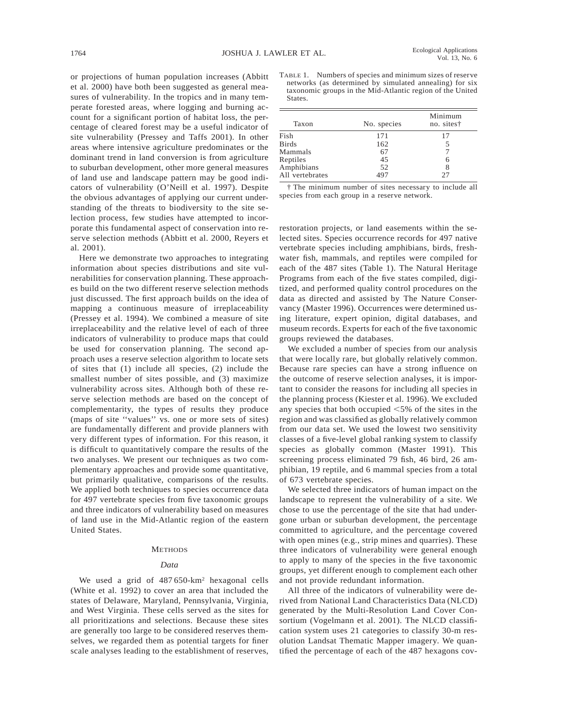or projections of human population increases (Abbitt et al. 2000) have both been suggested as general measures of vulnerability. In the tropics and in many temperate forested areas, where logging and burning account for a significant portion of habitat loss, the percentage of cleared forest may be a useful indicator of site vulnerability (Pressey and Taffs 2001). In other areas where intensive agriculture predominates or the dominant trend in land conversion is from agriculture to suburban development, other more general measures of land use and landscape pattern may be good indicators of vulnerability (O'Neill et al. 1997). Despite the obvious advantages of applying our current understanding of the threats to biodiversity to the site selection process, few studies have attempted to incorporate this fundamental aspect of conservation into reserve selection methods (Abbitt et al. 2000, Reyers et al. 2001).

Here we demonstrate two approaches to integrating information about species distributions and site vulnerabilities for conservation planning. These approaches build on the two different reserve selection methods just discussed. The first approach builds on the idea of mapping a continuous measure of irreplaceability (Pressey et al. 1994). We combined a measure of site irreplaceability and the relative level of each of three indicators of vulnerability to produce maps that could be used for conservation planning. The second approach uses a reserve selection algorithm to locate sets of sites that (1) include all species, (2) include the smallest number of sites possible, and (3) maximize vulnerability across sites. Although both of these reserve selection methods are based on the concept of complementarity, the types of results they produce (maps of site ''values'' vs. one or more sets of sites) are fundamentally different and provide planners with very different types of information. For this reason, it is difficult to quantitatively compare the results of the two analyses. We present our techniques as two complementary approaches and provide some quantitative, but primarily qualitative, comparisons of the results. We applied both techniques to species occurrence data for 497 vertebrate species from five taxonomic groups and three indicators of vulnerability based on measures of land use in the Mid-Atlantic region of the eastern United States.

## **METHODS**

## *Data*

We used a grid of 487 650-km<sup>2</sup> hexagonal cells (White et al. 1992) to cover an area that included the states of Delaware, Maryland, Pennsylvania, Virginia, and West Virginia. These cells served as the sites for all prioritizations and selections. Because these sites are generally too large to be considered reserves themselves, we regarded them as potential targets for finer scale analyses leading to the establishment of reserves, TABLE 1. Numbers of species and minimum sizes of reserve networks (as determined by simulated annealing) for six taxonomic groups in the Mid-Atlantic region of the United States.

| Taxon           | No. species | Minimum<br>no. sites† |
|-----------------|-------------|-----------------------|
| Fish            | 171         |                       |
| <b>Birds</b>    | 162         | 5                     |
| Mammals         | 67          |                       |
| Reptiles        | 45          | 6                     |
| Amphibians      | 52          | 8                     |
| All vertebrates | 497         | 77                    |

† The minimum number of sites necessary to include all species from each group in a reserve network.

restoration projects, or land easements within the selected sites. Species occurrence records for 497 native vertebrate species including amphibians, birds, freshwater fish, mammals, and reptiles were compiled for each of the 487 sites (Table 1). The Natural Heritage Programs from each of the five states compiled, digitized, and performed quality control procedures on the data as directed and assisted by The Nature Conservancy (Master 1996). Occurrences were determined using literature, expert opinion, digital databases, and museum records. Experts for each of the five taxonomic groups reviewed the databases.

We excluded a number of species from our analysis that were locally rare, but globally relatively common. Because rare species can have a strong influence on the outcome of reserve selection analyses, it is important to consider the reasons for including all species in the planning process (Kiester et al. 1996). We excluded any species that both occupied  $<$  5% of the sites in the region and was classified as globally relatively common from our data set. We used the lowest two sensitivity classes of a five-level global ranking system to classify species as globally common (Master 1991). This screening process eliminated 79 fish, 46 bird, 26 amphibian, 19 reptile, and 6 mammal species from a total of 673 vertebrate species.

We selected three indicators of human impact on the landscape to represent the vulnerability of a site. We chose to use the percentage of the site that had undergone urban or suburban development, the percentage committed to agriculture, and the percentage covered with open mines (e.g., strip mines and quarries). These three indicators of vulnerability were general enough to apply to many of the species in the five taxonomic groups, yet different enough to complement each other and not provide redundant information.

All three of the indicators of vulnerability were derived from National Land Characteristics Data (NLCD) generated by the Multi-Resolution Land Cover Consortium (Vogelmann et al. 2001). The NLCD classification system uses 21 categories to classify 30-m resolution Landsat Thematic Mapper imagery. We quantified the percentage of each of the 487 hexagons cov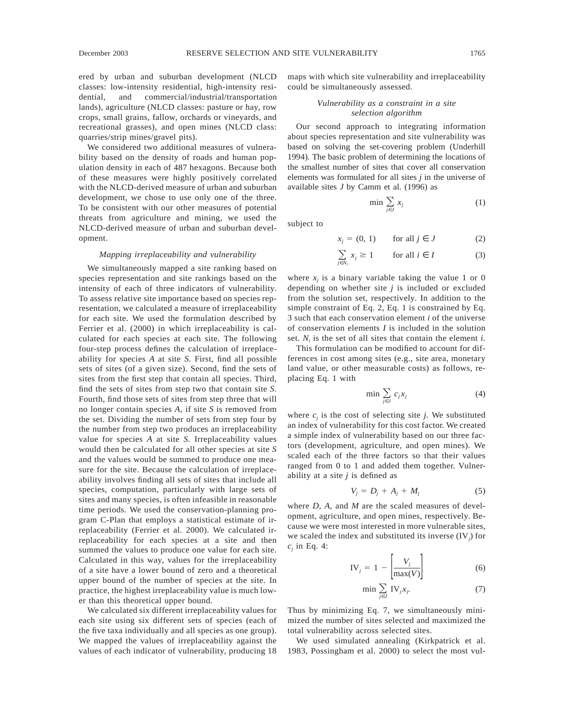ered by urban and suburban development (NLCD classes: low-intensity residential, high-intensity residential, and commercial/industrial/transportation lands), agriculture (NLCD classes: pasture or hay, row crops, small grains, fallow, orchards or vineyards, and recreational grasses), and open mines (NLCD class: quarries/strip mines/gravel pits).

We considered two additional measures of vulnerability based on the density of roads and human population density in each of 487 hexagons. Because both of these measures were highly positively correlated with the NLCD-derived measure of urban and suburban development, we chose to use only one of the three. To be consistent with our other measures of potential threats from agriculture and mining, we used the NLCD-derived measure of urban and suburban development.

# *Mapping irreplaceability and vulnerability*

We simultaneously mapped a site ranking based on species representation and site rankings based on the intensity of each of three indicators of vulnerability. To assess relative site importance based on species representation, we calculated a measure of irreplaceability for each site. We used the formulation described by Ferrier et al. (2000) in which irreplaceability is calculated for each species at each site. The following four-step process defines the calculation of irreplaceability for species *A* at site *S*. First, find all possible sets of sites (of a given size). Second, find the sets of sites from the first step that contain all species. Third, find the sets of sites from step two that contain site *S*. Fourth, find those sets of sites from step three that will no longer contain species *A*, if site *S* is removed from the set. Dividing the number of sets from step four by the number from step two produces an irreplaceability value for species *A* at site *S*. Irreplaceability values would then be calculated for all other species at site *S* and the values would be summed to produce one measure for the site. Because the calculation of irreplaceability involves finding all sets of sites that include all species, computation, particularly with large sets of sites and many species, is often infeasible in reasonable time periods. We used the conservation-planning program C-Plan that employs a statistical estimate of irreplaceability (Ferrier et al. 2000). We calculated irreplaceability for each species at a site and then summed the values to produce one value for each site. Calculated in this way, values for the irreplaceability of a site have a lower bound of zero and a theoretical upper bound of the number of species at the site. In practice, the highest irreplaceability value is much lower than this theoretical upper bound.

We calculated six different irreplaceability values for each site using six different sets of species (each of the five taxa individually and all species as one group). We mapped the values of irreplaceability against the values of each indicator of vulnerability, producing 18 maps with which site vulnerability and irreplaceability could be simultaneously assessed.

# *Vulnerability as a constraint in a site selection algorithm*

Our second approach to integrating information about species representation and site vulnerability was based on solving the set-covering problem (Underhill 1994). The basic problem of determining the locations of the smallest number of sites that cover all conservation elements was formulated for all sites *j* in the universe of available sites *J* by Camm et al. (1996) as

$$
\min \sum_{j \in J} x_j \tag{1}
$$

subject to

$$
x_j = (0, 1) \qquad \text{for all } j \in J \tag{2}
$$

$$
\sum_{j \in N_i} x_j \ge 1 \qquad \text{for all } i \in I \tag{3}
$$

where  $x_i$  is a binary variable taking the value 1 or 0 depending on whether site *j* is included or excluded from the solution set, respectively. In addition to the simple constraint of Eq. 2, Eq. 1 is constrained by Eq. 3 such that each conservation element *i* of the universe of conservation elements *I* is included in the solution set. *Ni* is the set of all sites that contain the element *i*.

This formulation can be modified to account for differences in cost among sites (e.g., site area, monetary land value, or other measurable costs) as follows, replacing Eq. 1 with

$$
\min \sum_{j \in J} c_j x_j \tag{4}
$$

where  $c_i$  is the cost of selecting site *j*. We substituted an index of vulnerability for this cost factor. We created a simple index of vulnerability based on our three factors (development, agriculture, and open mines). We scaled each of the three factors so that their values ranged from 0 to 1 and added them together. Vulnerability at a site *j* is defined as

$$
V_j = D_j + A_j + M_j \tag{5}
$$

where *D, A,* and *M* are the scaled measures of development, agriculture, and open mines, respectively. Because we were most interested in more vulnerable sites, we scaled the index and substituted its inverse (IV*<sup>j</sup>* ) for  $c_i$  in Eq. 4:

$$
IV_j = 1 - \frac{V_j}{\max(V)}\tag{6}
$$

$$
\min \sum_{j \in J} \text{IV}_j x_j. \tag{7}
$$

Thus by minimizing Eq. 7, we simultaneously minimized the number of sites selected and maximized the total vulnerability across selected sites.

We used simulated annealing (Kirkpatrick et al. 1983, Possingham et al. 2000) to select the most vul-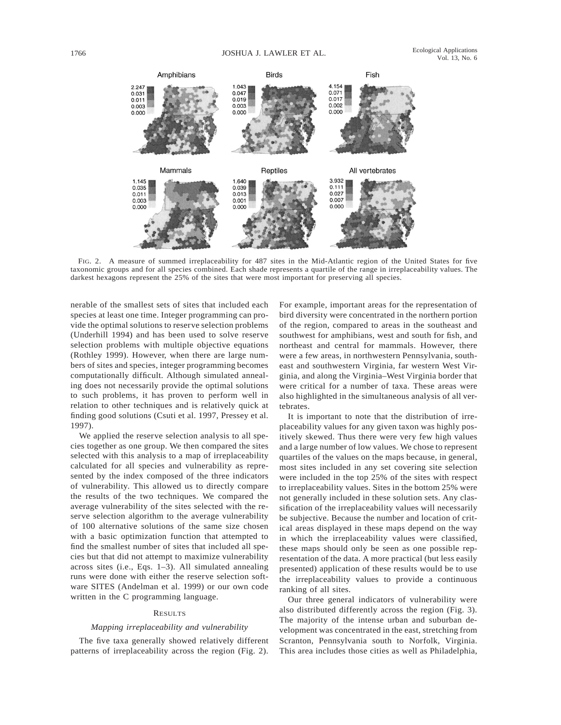Amphibians Fish **Birds** 1.043<br>0.047 4 154 2.247  $0.071$ 0.031  $0.011$  $0.019$ 0.017  $0.003$ 0.002 0.003  $0.000$  $0.000$ 0.000 Reptiles Mammals All vertebrates 3.932  $1.145$ 1.640 0.035 0.039  $0.111$  $0.013$ 0.027  $0.011$ 0.007 0.003  $0.001$ 0.000 0.000 0.000

FIG. 2. A measure of summed irreplaceability for 487 sites in the Mid-Atlantic region of the United States for five taxonomic groups and for all species combined. Each shade represents a quartile of the range in irreplaceability values. The darkest hexagons represent the 25% of the sites that were most important for preserving all species.

nerable of the smallest sets of sites that included each species at least one time. Integer programming can provide the optimal solutions to reserve selection problems (Underhill 1994) and has been used to solve reserve selection problems with multiple objective equations (Rothley 1999). However, when there are large numbers of sites and species, integer programming becomes computationally difficult. Although simulated annealing does not necessarily provide the optimal solutions to such problems, it has proven to perform well in relation to other techniques and is relatively quick at finding good solutions (Csuti et al. 1997, Pressey et al. 1997).

We applied the reserve selection analysis to all species together as one group. We then compared the sites selected with this analysis to a map of irreplaceability calculated for all species and vulnerability as represented by the index composed of the three indicators of vulnerability. This allowed us to directly compare the results of the two techniques. We compared the average vulnerability of the sites selected with the reserve selection algorithm to the average vulnerability of 100 alternative solutions of the same size chosen with a basic optimization function that attempted to find the smallest number of sites that included all species but that did not attempt to maximize vulnerability across sites (i.e., Eqs. 1–3). All simulated annealing runs were done with either the reserve selection software SITES (Andelman et al. 1999) or our own code written in the C programming language.

#### **RESULTS**

#### *Mapping irreplaceability and vulnerability*

The five taxa generally showed relatively different patterns of irreplaceability across the region (Fig. 2).

For example, important areas for the representation of bird diversity were concentrated in the northern portion of the region, compared to areas in the southeast and southwest for amphibians, west and south for fish, and northeast and central for mammals. However, there were a few areas, in northwestern Pennsylvania, southeast and southwestern Virginia, far western West Virginia, and along the Virginia–West Virginia border that were critical for a number of taxa. These areas were also highlighted in the simultaneous analysis of all vertebrates.

It is important to note that the distribution of irreplaceability values for any given taxon was highly positively skewed. Thus there were very few high values and a large number of low values. We chose to represent quartiles of the values on the maps because, in general, most sites included in any set covering site selection were included in the top 25% of the sites with respect to irreplaceability values. Sites in the bottom 25% were not generally included in these solution sets. Any classification of the irreplaceability values will necessarily be subjective. Because the number and location of critical areas displayed in these maps depend on the way in which the irreplaceability values were classified, these maps should only be seen as one possible representation of the data. A more practical (but less easily presented) application of these results would be to use the irreplaceability values to provide a continuous ranking of all sites.

Our three general indicators of vulnerability were also distributed differently across the region (Fig. 3). The majority of the intense urban and suburban development was concentrated in the east, stretching from Scranton, Pennsylvania south to Norfolk, Virginia. This area includes those cities as well as Philadelphia,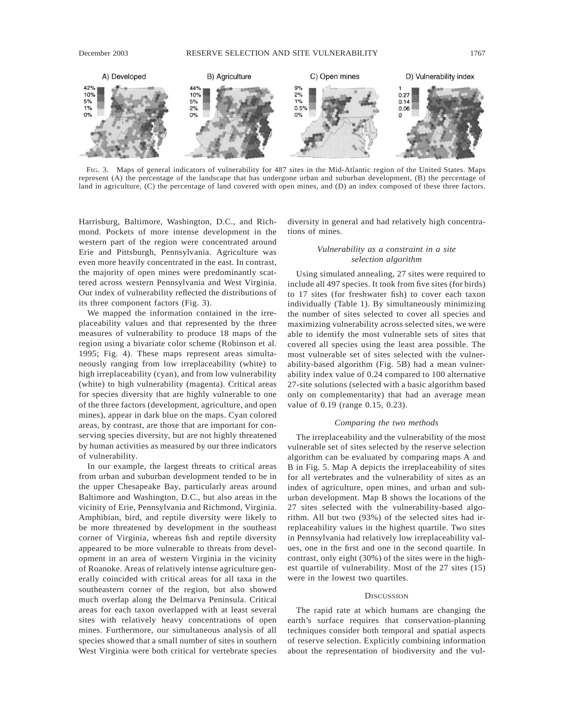

FIG. 3. Maps of general indicators of vulnerability for 487 sites in the Mid-Atlantic region of the United States. Maps represent (A) the percentage of the landscape that has undergone urban and suburban development, (B) the percentage of land in agriculture, (C) the percentage of land covered with open mines, and (D) an index composed of these three factors.

Harrisburg, Baltimore, Washington, D.C., and Richmond. Pockets of more intense development in the western part of the region were concentrated around Erie and Pittsburgh, Pennsylvania. Agriculture was even more heavily concentrated in the east. In contrast, the majority of open mines were predominantly scattered across western Pennsylvania and West Virginia. Our index of vulnerability reflected the distributions of its three component factors (Fig. 3).

We mapped the information contained in the irreplaceability values and that represented by the three measures of vulnerability to produce 18 maps of the region using a bivariate color scheme (Robinson et al. 1995; Fig. 4). These maps represent areas simultaneously ranging from low irreplaceability (white) to high irreplaceability (cyan), and from low vulnerability (white) to high vulnerability (magenta). Critical areas for species diversity that are highly vulnerable to one of the three factors (development, agriculture, and open mines), appear in dark blue on the maps. Cyan colored areas, by contrast, are those that are important for conserving species diversity, but are not highly threatened by human activities as measured by our three indicators of vulnerability.

In our example, the largest threats to critical areas from urban and suburban development tended to be in the upper Chesapeake Bay, particularly areas around Baltimore and Washington, D.C., but also areas in the vicinity of Erie, Pennsylvania and Richmond, Virginia. Amphibian, bird, and reptile diversity were likely to be more threatened by development in the southeast corner of Virginia, whereas fish and reptile diversity appeared to be more vulnerable to threats from development in an area of western Virginia in the vicinity of Roanoke. Areas of relatively intense agriculture generally coincided with critical areas for all taxa in the southeastern corner of the region, but also showed much overlap along the Delmarva Peninsula. Critical areas for each taxon overlapped with at least several sites with relatively heavy concentrations of open mines. Furthermore, our simultaneous analysis of all species showed that a small number of sites in southern West Virginia were both critical for vertebrate species

diversity in general and had relatively high concentrations of mines.

# *Vulnerability as a constraint in a site selection algorithm*

Using simulated annealing, 27 sites were required to include all 497 species. It took from five sites (for birds) to 17 sites (for freshwater fish) to cover each taxon individually (Table 1). By simultaneously minimizing the number of sites selected to cover all species and maximizing vulnerability across selected sites, we were able to identify the most vulnerable sets of sites that covered all species using the least area possible. The most vulnerable set of sites selected with the vulnerability-based algorithm (Fig. 5B) had a mean vulnerability index value of 0.24 compared to 100 alternative 27-site solutions (selected with a basic algorithm based only on complementarity) that had an average mean value of 0.19 (range 0.15, 0.23).

## *Comparing the two methods*

The irreplaceability and the vulnerability of the most vulnerable set of sites selected by the reserve selection algorithm can be evaluated by comparing maps A and B in Fig. 5. Map A depicts the irreplaceability of sites for all vertebrates and the vulnerability of sites as an index of agriculture, open mines, and urban and suburban development. Map B shows the locations of the 27 sites selected with the vulnerability-based algorithm. All but two (93%) of the selected sites had irreplaceability values in the highest quartile. Two sites in Pennsylvania had relatively low irreplaceability values, one in the first and one in the second quartile. In contrast, only eight (30%) of the sites were in the highest quartile of vulnerability. Most of the 27 sites (15) were in the lowest two quartiles.

#### **DISCUSSION**

The rapid rate at which humans are changing the earth's surface requires that conservation-planning techniques consider both temporal and spatial aspects of reserve selection. Explicitly combining information about the representation of biodiversity and the vul-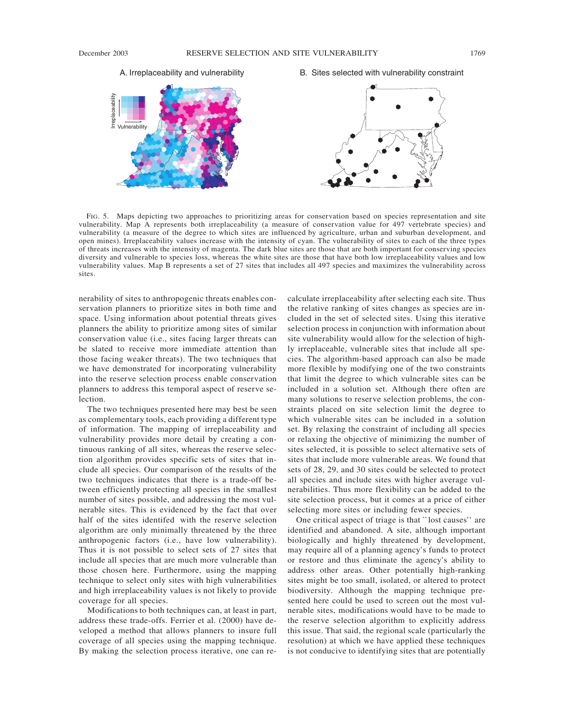A. Irreplaceability and vulnerability B. Sites selected with vulnerability constraint



FIG. 5. Maps depicting two approaches to prioritizing areas for conservation based on species representation and site vulnerability. Map A represents both irreplaceability (a measure of conservation value for 497 vertebrate species) and vulnerability (a measure of the degree to which sites are influenced by agriculture, urban and suburban development, and open mines). Irreplaceability values increase with the intensity of cyan. The vulnerability of sites to each of the three types of threats increases with the intensity of magenta. The dark blue sites are those that are both important for conserving species diversity and vulnerable to species loss, whereas the white sites are those that have both low irreplaceability values and low vulnerability values. Map B represents a set of 27 sites that includes all 497 species and maximizes the vulnerability across sites.

nerability of sites to anthropogenic threats enables conservation planners to prioritize sites in both time and space. Using information about potential threats gives planners the ability to prioritize among sites of similar conservation value (i.e., sites facing larger threats can be slated to receive more immediate attention than those facing weaker threats). The two techniques that we have demonstrated for incorporating vulnerability into the reserve selection process enable conservation planners to address this temporal aspect of reserve selection.

The two techniques presented here may best be seen as complementary tools, each providing a different type of information. The mapping of irreplaceability and vulnerability provides more detail by creating a continuous ranking of all sites, whereas the reserve selection algorithm provides specific sets of sites that include all species. Our comparison of the results of the two techniques indicates that there is a trade-off between efficiently protecting all species in the smallest number of sites possible, and addressing the most vulnerable sites. This is evidenced by the fact that over half of the sites identifed with the reserve selection algorithm are only minimally threatened by the three anthropogenic factors (i.e., have low vulnerability). Thus it is not possible to select sets of 27 sites that include all species that are much more vulnerable than those chosen here. Furthermore, using the mapping technique to select only sites with high vulnerabilities and high irreplaceability values is not likely to provide coverage for all species.

Modifications to both techniques can, at least in part, address these trade-offs. Ferrier et al. (2000) have developed a method that allows planners to insure full coverage of all species using the mapping technique. By making the selection process iterative, one can re-

calculate irreplaceability after selecting each site. Thus the relative ranking of sites changes as species are included in the set of selected sites. Using this iterative selection process in conjunction with information about site vulnerability would allow for the selection of highly irreplaceable, vulnerable sites that include all species. The algorithm-based approach can also be made more flexible by modifying one of the two constraints that limit the degree to which vulnerable sites can be included in a solution set. Although there often are many solutions to reserve selection problems, the constraints placed on site selection limit the degree to which vulnerable sites can be included in a solution set. By relaxing the constraint of including all species or relaxing the objective of minimizing the number of sites selected, it is possible to select alternative sets of sites that include more vulnerable areas. We found that sets of 28, 29, and 30 sites could be selected to protect all species and include sites with higher average vulnerabilities. Thus more flexibility can be added to the site selection process, but it comes at a price of either selecting more sites or including fewer species.

One critical aspect of triage is that ``lost causes' ' are identified and abandoned. A site, although important biologically and highly threatened by development, may require all of a planning agency's funds to protect or restore and thus eliminate the agency's ability to address other areas. Other potentially high-ranking sites might be too small, isolated, or altered to protect biodiversity. Although the mapping technique presented here could be used to screen out the most vulnerable sites, modifications would have to be made to the reserve selection algorithm to explicitly address this issue. That said, the regional scale (particularly the resolution) at which we have applied these techniques is not conducive to identifying sites that are potentially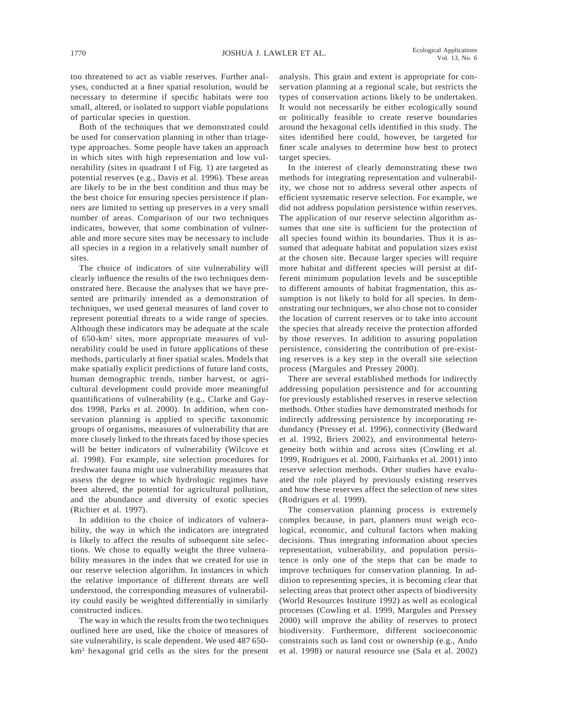too threatened to act as viable reserves. Further analyses, conducted at a finer spatial resolution, would be necessary to determine if specific habitats were too small, altered, or isolated to support viable populations of particular species in question.

Both of the techniques that we demonstrated could be used for conservation planning in other than triagetype approaches. Some people have taken an approach in which sites with high representation and low vulnerability (sites in quadrant I of Fig. 1) are targeted as potential reserves (e.g., Davis et al. 1996). These areas are likely to be in the best condition and thus may be the best choice for ensuring species persistence if planners are limited to setting up preserves in a very small number of areas. Comparison of our two techniques indicates, however, that some combination of vulnerable and more secure sites may be necessary to include all species in a region in a relatively small number of sites.

The choice of indicators of site vulnerability will clearly influence the results of the two techniques demonstrated here. Because the analyses that we have presented are primarily intended as a demonstration of techniques, we used general measures of land cover to represent potential threats to a wide range of species. Although these indicators may be adequate at the scale of 650-km2 sites, more appropriate measures of vulnerability could be used in future applications of these methods, particularly at finer spatial scales. Models that make spatially explicit predictions of future land costs, human demographic trends, timber harvest, or agricultural development could provide more meaningful quantifications of vulnerability (e.g., Clarke and Gaydos 1998, Parks et al. 2000). In addition, when conservation planning is applied to specific taxonomic groups of organisms, measures of vulnerability that are more closely linked to the threats faced by those species will be better indicators of vulnerability (Wilcove et al. 1998). For example, site selection procedures for freshwater fauna might use vulnerability measures that assess the degree to which hydrologic regimes have been altered, the potential for agricultural pollution, and the abundance and diversity of exotic species (Richter et al. 1997).

In addition to the choice of indicators of vulnerability, the way in which the indicators are integrated is likely to affect the results of subsequent site selections. We chose to equally weight the three vulnerability measures in the index that we created for use in our reserve selection algorithm. In instances in which the relative importance of different threats are well understood, the corresponding measures of vulnerability could easily be weighted differentially in similarly constructed indices.

The way in which the results from the two techniques outlined here are used, like the choice of measures of site vulnerability, is scale dependent. We used 487 650 km2 hexagonal grid cells as the sites for the present

analysis. This grain and extent is appropriate for conservation planning at a regional scale, but restricts the types of conservation actions likely to be undertaken. It would not necessarily be either ecologically sound or politically feasible to create reserve boundaries around the hexagonal cells identified in this study. The sites identified here could, however, be targeted for finer scale analyses to determine how best to protect target species.

In the interest of clearly demonstrating these two methods for integrating representation and vulnerability, we chose not to address several other aspects of efficient systematic reserve selection. For example, we did not address population persistence within reserves. The application of our reserve selection algorithm assumes that one site is sufficient for the protection of all species found within its boundaries. Thus it is assumed that adequate habitat and population sizes exist at the chosen site. Because larger species will require more habitat and different species will persist at different minimum population levels and be susceptible to different amounts of habitat fragmentation, this assumption is not likely to hold for all species. In demonstrating our techniques, we also chose not to consider the location of current reserves or to take into account the species that already receive the protection afforded by those reserves. In addition to assuring population persistence, considering the contribution of pre-existing reserves is a key step in the overall site selection process (Margules and Pressey 2000).

There are several established methods for indirectly addressing population persistence and for accounting for previously established reserves in reserve selection methods. Other studies have demonstrated methods for indirectly addressing persistence by incorporating redundancy (Pressey et al. 1996), connectivity (Bedward et al. 1992, Briers 2002), and environmental heterogeneity both within and across sites (Cowling et al. 1999, Rodrigues et al. 2000, Fairbanks et al. 2001) into reserve selection methods. Other studies have evaluated the role played by previously existing reserves and how these reserves affect the selection of new sites (Rodrigues et al. 1999).

The conservation planning process is extremely complex because, in part, planners must weigh ecological, economic, and cultural factors when making decisions. Thus integrating information about species representation, vulnerability, and population persistence is only one of the steps that can be made to improve techniques for conservation planning. In addition to representing species, it is becoming clear that selecting areas that protect other aspects of biodiversity (World Resources Institute 1992) as well as ecological processes (Cowling et al. 1999, Margules and Pressey 2000) will improve the ability of reserves to protect biodiversity. Furthermore, different socioeconomic constraints such as land cost or ownership (e.g., Ando et al. 1998) or natural resource use (Sala et al. 2002)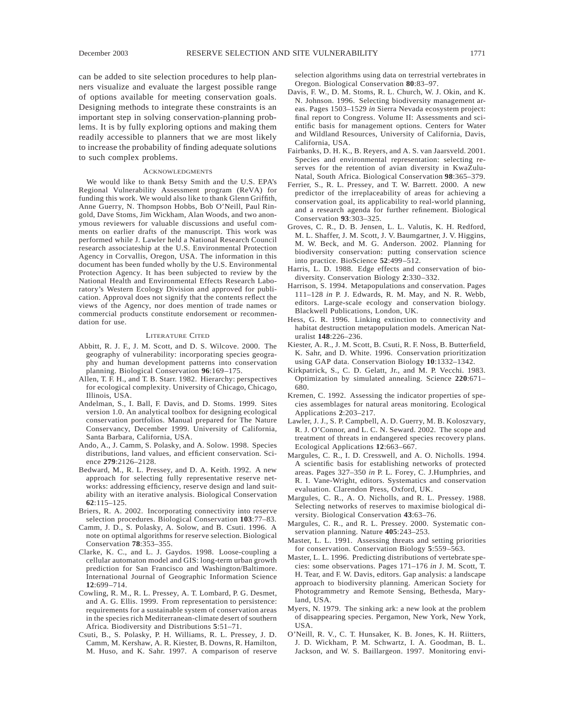can be added to site selection procedures to help planners visualize and evaluate the largest possible range of options available for meeting conservation goals. Designing methods to integrate these constraints is an important step in solving conservation-planning problems. It is by fully exploring options and making them readily accessible to planners that we are most likely to increase the probability of finding adequate solutions to such complex problems.

#### **ACKNOWLEDGMENTS**

We would like to thank Betsy Smith and the U.S. EPA's Regional Vulnerability Assessment program (ReVA) for funding this work. We would also like to thank Glenn Griffith, Anne Guerry, N. Thompson Hobbs, Bob O'Neill, Paul Ringold, Dave Stoms, Jim Wickham, Alan Woods, and two anonymous reviewers for valuable discussions and useful comments on earlier drafts of the manuscript. This work was performed while J. Lawler held a National Research Council research associateship at the U.S. Environmental Protection Agency in Corvallis, Oregon, USA. The information in this document has been funded wholly by the U.S. Environmental Protection Agency. It has been subjected to review by the National Health and Environmental Effects Research Laboratory's Western Ecology Division and approved for publication. Approval does not signify that the contents reflect the views of the Agency, nor does mention of trade names or commercial products constitute endorsement or recommendation for use.

#### LITERATURE CITED

- Abbitt, R. J. F., J. M. Scott, and D. S. Wilcove. 2000. The geography of vulnerability: incorporating species geography and human development patterns into conservation planning. Biological Conservation **96**:169–175.
- Allen, T. F. H., and T. B. Starr. 1982. Hierarchy: perspectives for ecological complexity. University of Chicago, Chicago, Illinois, USA.
- Andelman, S., I. Ball, F. Davis, and D. Stoms. 1999. Sites version 1.0. An analytical toolbox for designing ecological conservation portfolios. Manual prepared for The Nature Conservancy, December 1999. University of California, Santa Barbara, California, USA.
- Ando, A., J. Camm, S. Polasky, and A. Solow. 1998. Species distributions, land values, and efficient conservation. Science **279**:2126–2128.
- Bedward, M., R. L. Pressey, and D. A. Keith. 1992. A new approach for selecting fully representative reserve networks: addressing efficiency, reserve design and land suitability with an iterative analysis. Biological Conservation **62**:115–125.
- Briers, R. A. 2002. Incorporating connectivity into reserve selection procedures. Biological Conservation **103**:77–83.
- Camm, J. D., S. Polasky, A. Solow, and B. Csuti. 1996. A note on optimal algorithms for reserve selection. Biological Conservation **78**:353–355.
- Clarke, K. C., and L. J. Gaydos. 1998. Loose-coupling a cellular automaton model and GIS: long-term urban growth prediction for San Francisco and Washington/Baltimore. International Journal of Geographic Information Science **12**:699–714.
- Cowling, R. M., R. L. Pressey, A. T. Lombard, P. G. Desmet, and A. G. Ellis. 1999. From representation to persistence: requirements for a sustainable system of conservation areas in the species rich Mediterranean-climate desert of southern Africa. Biodiversity and Distributions **5**:51–71.
- Csuti, B., S. Polasky, P. H. Williams, R. L. Pressey, J. D. Camm, M. Kershaw, A. R. Kiester, B. Downs, R. Hamilton, M. Huso, and K. Sahr. 1997. A comparison of reserve

selection algorithms using data on terrestrial vertebrates in Oregon. Biological Conservation **80**:83–97.

- Davis, F. W., D. M. Stoms, R. L. Church, W. J. Okin, and K. N. Johnson. 1996. Selecting biodiversity management areas. Pages 1503–1529 *in* Sierra Nevada ecosystem project: final report to Congress. Volume II: Assessments and scientific basis for management options. Centers for Water and Wildland Resources, University of California, Davis, California, USA.
- Fairbanks, D. H. K., B. Reyers, and A. S. van Jaarsveld. 2001. Species and environmental representation: selecting reserves for the retention of avian diversity in KwaZulu-Natal, South Africa. Biological Conservation **98**:365–379.
- Ferrier, S., R. L. Pressey, and T. W. Barrett. 2000. A new predictor of the irreplaceability of areas for achieving a conservation goal, its applicability to real-world planning, and a research agenda for further refinement. Biological Conservation **93**:303–325.
- Groves, C. R., D. B. Jensen, L. L. Valutis, K. H. Redford, M. L. Shaffer, J. M. Scott, J. V. Baumgartner, J. V. Higgins, M. W. Beck, and M. G. Anderson. 2002. Planning for biodiversity conservation: putting conservation science into practice. BioScience **52**:499–512.
- Harris, L. D. 1988. Edge effects and conservation of biodiversity. Conservation Biology **2**:330–332.
- Harrison, S. 1994. Metapopulations and conservation. Pages 111–128 *in* P. J. Edwards, R. M. May, and N. R. Webb, editors. Large-scale ecology and conservation biology. Blackwell Publications, London, UK.
- Hess, G. R. 1996. Linking extinction to connectivity and habitat destruction metapopulation models. American Naturalist **148**:226–236.
- Kiester, A. R., J. M. Scott, B. Csuti, R. F. Noss, B. Butterfield, K. Sahr, and D. White. 1996. Conservation prioritization using GAP data. Conservation Biology **10**:1332–1342.
- Kirkpatrick, S., C. D. Gelatt, Jr., and M. P. Vecchi. 1983. Optimization by simulated annealing. Science **220**:671– 680.
- Kremen, C. 1992. Assessing the indicator properties of species assemblages for natural areas monitoring. Ecological Applications **2**:203–217.
- Lawler, J. J., S. P. Campbell, A. D. Guerry, M. B. Koloszvary, R. J. O'Connor, and L. C. N. Seward. 2002. The scope and treatment of threats in endangered species recovery plans. Ecological Applications **12**:663–667.
- Margules, C. R., I. D. Cresswell, and A. O. Nicholls. 1994. A scientific basis for establishing networks of protected areas. Pages 327–350 *in* P. L. Forey, C. J.Humphries, and R. I. Vane-Wright, editors. Systematics and conservation evaluation. Clarendon Press, Oxford, UK.
- Margules, C. R., A. O. Nicholls, and R. L. Pressey. 1988. Selecting networks of reserves to maximise biological diversity. Biological Conservation **43**:63–76.
- Margules, C. R., and R. L. Pressey. 2000. Systematic conservation planning. Nature **405**:243–253.
- Master, L. L. 1991. Assessing threats and setting priorities for conservation. Conservation Biology **5**:559–563.
- Master, L. L. 1996. Predicting distributions of vertebrate species: some observations. Pages 171–176 *in* J. M. Scott, T. H. Tear, and F. W. Davis, editors. Gap analysis: a landscape approach to biodiversity planning. American Society for Photogrammetry and Remote Sensing, Bethesda, Maryland, USA.
- Myers, N. 1979. The sinking ark: a new look at the problem of disappearing species. Pergamon, New York, New York, USA.
- O'Neill, R. V., C. T. Hunsaker, K. B. Jones, K. H. Riitters, J. D. Wickham, P. M. Schwartz, I. A. Goodman, B. L. Jackson, and W. S. Baillargeon. 1997. Monitoring envi-